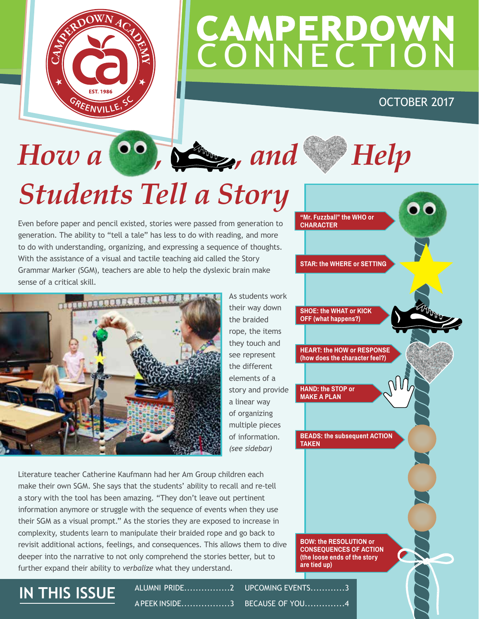

## **CAMPERDOWN CONNECTION**

**"Mr. Fuzzball" the WHO or** 

**STAR: the WHERE or SETTING**

**SHOE: the WHAT or KICK OFF (what happens?)**

**HAND: the STOP or MAKE A PLAN**

**TAKEN**

**HEART: the HOW or RESPONSE (how does the character feel?)**

**BEADS: the subsequent ACTION** 

**CHARACTER**

### OCTOBER 2017

## How a <sup>66</sup>, *S<sub>k</sub>*, and Help *Students Tell a Story*

Even before paper and pencil existed, stories were passed from generation to generation. The ability to "tell a tale" has less to do with reading, and more to do with understanding, organizing, and expressing a sequence of thoughts. With the assistance of a visual and tactile teaching aid called the Story Grammar Marker (SGM), teachers are able to help the dyslexic brain make sense of a critical skill.



As students work their way down the braided rope, the items they touch and see represent the different elements of a story and provide a linear way of organizing multiple pieces of information. *(see sidebar)* 

Literature teacher Catherine Kaufmann had her Am Group children each make their own SGM. She says that the students' ability to recall and re-tell a story with the tool has been amazing. "They don't leave out pertinent information anymore or struggle with the sequence of events when they use their SGM as a visual prompt." As the stories they are exposed to increase in complexity, students learn to manipulate their braided rope and go back to revisit additional actions, feelings, and consequences. This allows them to dive deeper into the narrative to not only comprehend the stories better, but to further expand their ability to *verbalize* what they understand.

### **BOW: the RESOLUTION or CONSEQUENCES OF ACTION (the loose ends of the story are tied up)**

**IN THIS ISSUE** ALUMNI PRIDE................2 A PEEK INSIDE.................3 UPCOMING EVENTS............3 BECAUSE OF YOU..............4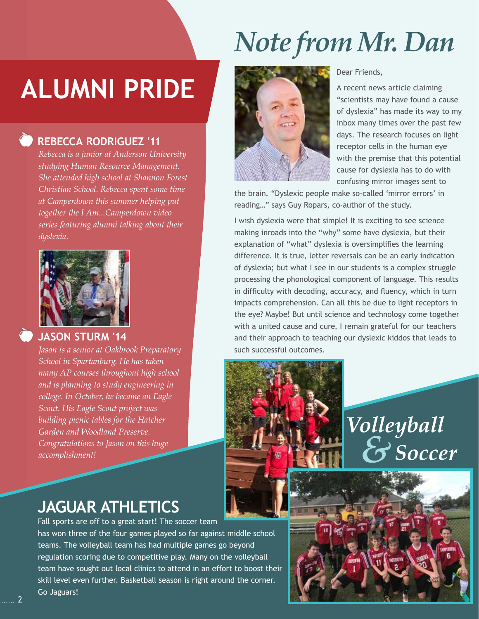## **ALUMNI PRIDE**

*Rebecca is a junior at Anderson University studying Human Resource Management. She attended high school at Shannon Forest Christian School. Rebecca spent some time at Camperdown this summer helping put together the I Am...Camperdown video series featuring alumni talking about their* 

 **REBECCA RODRIGUEZ '11**

*dyslexia.*

## *Note from Mr. Dan*



### Dear Friends,

A recent news article claiming "scientists may have found a cause of dyslexia" has made its way to my inbox many times over the past few days. The research focuses on light receptor cells in the human eye with the premise that this potential cause for dyslexia has to do with confusing mirror images sent to

the brain. "Dyslexic people make so-called 'mirror errors' in reading…" says Guy Ropars, co-author of the study.

I wish dyslexia were that simple! It is exciting to see science making inroads into the "why" some have dyslexia, but their explanation of "what" dyslexia is oversimplifies the learning difference. It is true, letter reversals can be an early indication of dyslexia; but what I see in our students is a complex struggle processing the phonological component of language. This results in difficulty with decoding, accuracy, and fluency, which in turn impacts comprehension. Can all this be due to light receptors in the eye? Maybe! But until science and technology come together with a united cause and cure, I remain grateful for our teachers and their approach to teaching our dyslexic kiddos that leads to such successful outcomes.

Volleyball  $S$ Soccer

### **JAGUAR ATHLETICS**

Fall sports are off to a great start! The soccer team has won three of the four games played so far against middle school teams. The volleyball team has had multiple games go beyond regulation scoring due to competitive play. Many on the volleyball team have sought out local clinics to attend in an effort to boost their skill level even further. Basketball season is right around the corner. Go Jaguars!

# **JASON STURM '14**

*Jason is a senior at Oakbrook Preparatory School in Spartanburg. He has taken many AP courses throughout high school and is planning to study engineering in college. In October, he became an Eagle Scout. His Eagle Scout project was building picnic tables for the Hatcher Garden and Woodland Preserve. Congratulations to Jason on this huge accomplishment!*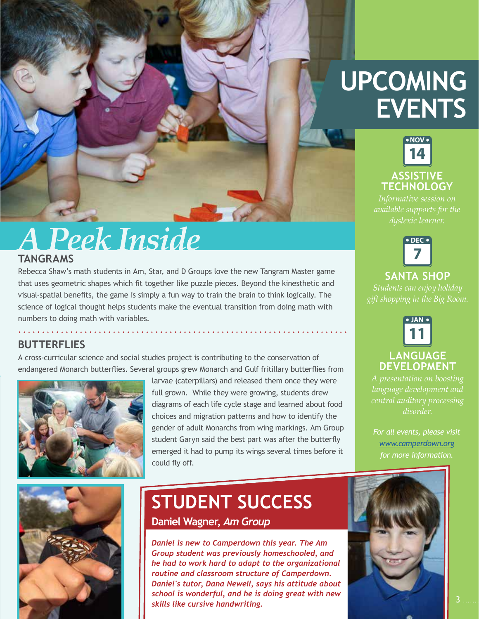## **UPCOMING EVENTS**



*available supports for the dyslexic learner.*



### **SANTA SHOP**

*gift shopping in the Big Room.*



### **LANGUAGE DEVELOPMENT**

*A presentation on boosting language development and disorder.*

*For all events, please visit [www.camperdown.org](http://www.camperdown.org) for more information.*



Rebecca Shaw's math students in Am, Star, and D Groups love the new Tangram Master game that uses geometric shapes which fit together like puzzle pieces. Beyond the kinesthetic and visual-spatial benefits, the game is simply a fun way to train the brain to think logically. The science of logical thought helps students make the eventual transition from doing math with numbers to doing math with variables.

### **BUTTERFLIES**

A cross-curricular science and social studies project is contributing to the conservation of endangered Monarch butterflies. Several groups grew Monarch and Gulf fritillary butterflies from



larvae (caterpillars) and released them once they were full grown. While they were growing, students drew diagrams of each life cycle stage and learned about food choices and migration patterns and how to identify the gender of adult Monarchs from wing markings. Am Group student Garyn said the best part was after the butterfly emerged it had to pump its wings several times before it could fly off.



### **STUDENT SUCCESS Daniel Wagner,** *Am Group*

*Daniel is new to Camperdown this year. The Am Group student was previously homeschooled, and he had to work hard to adapt to the organizational routine and classroom structure of Camperdown. Daniel's tutor, Dana Newell, says his attitude about school is wonderful, and he is doing great with new skills like cursive handwriting.*